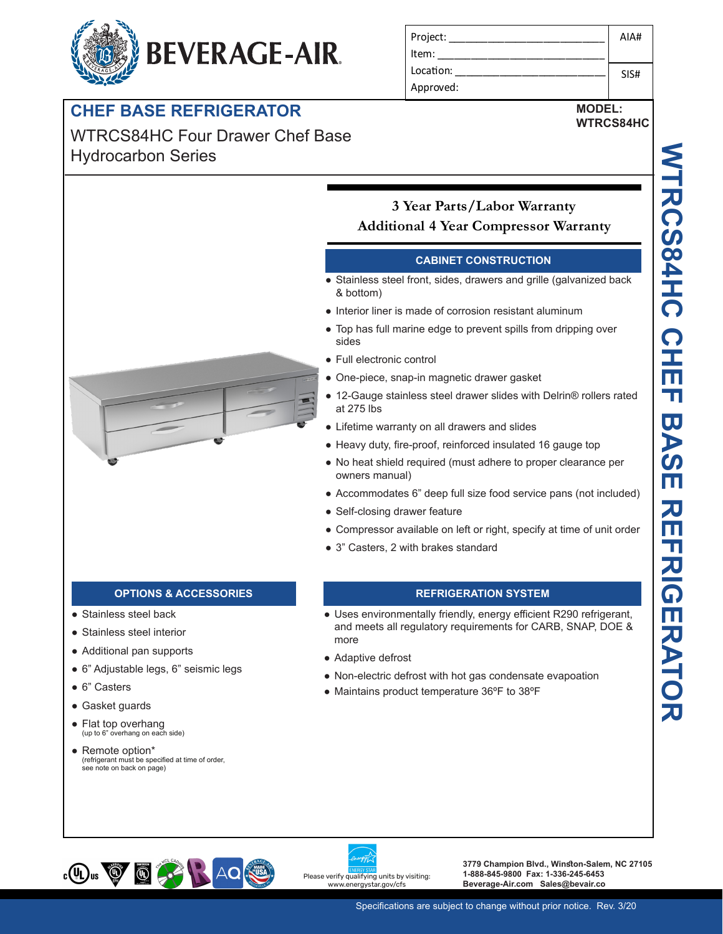# **BEVERAGE-AIR.**

## **CHEF BASE REFRIGERATOR**

WTRCS84HC Four Drawer Chef Base Hydrocarbon Series

| Project:  | AIA# |
|-----------|------|
| Item:     |      |
| Location: | SIS# |
| Approved: |      |

## **MODEL: WTRCS84HC**



## **3 Year Parts/Labor Warranty Additional 4 Year Compressor Warranty**

## **CABINET CONSTRUCTION**

- Stainless steel front, sides, drawers and grille (galvanized back & bottom)
- Interior liner is made of corrosion resistant aluminum
- Top has full marine edge to prevent spills from dripping over sides
- Full electronic control
- One-piece, snap-in magnetic drawer gasket
- 12-Gauge stainless steel drawer slides with Delrin® rollers rated at 275 lbs
- Lifetime warranty on all drawers and slides
- Heavy duty, fire-proof, reinforced insulated 16 gauge top
- No heat shield required (must adhere to proper clearance per owners manual)
- Accommodates 6" deep full size food service pans (not included)
- Self-closing drawer feature
- Compressor available on left or right, specify at time of unit order
- 3" Casters, 2 with brakes standard

- Stainless steel back
- Stainless steel interior
- Additional pan supports
- 6" Adjustable legs, 6" seismic legs
- 6" Casters
- Gasket guards
- Flat top overhang<br>
(up to 6" overhang on each side)
- Remote option\* (refrigerant must be specified at time of order, see note on back on page)

## **OPTIONS & ACCESSORIES REFRIGERATION SYSTEM**

- Uses environmentally friendly, energy efficient R290 refrigerant, and meets all regulatory requirements for CARB, SNAP, DOE & more
- Adaptive defrost
- Non-electric defrost with hot gas condensate evapoation
- Maintains product temperature 36ºF to 38ºF



Please verify qualifying units by visiting: w.energystar.gov/cfs

**3779 Champion Blvd., Winston-Salem, NC 27105 1-888-845-9800 Fax: 1-336-245-6453 Beverage-Air.com Sales@bevair.co**